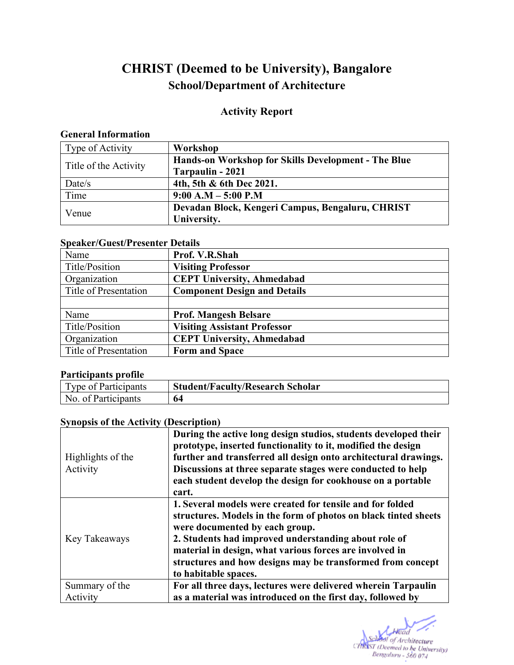# **CHRIST (Deemed to be University), Bangalore School/Department of Architecture**

# **Activity Report**

#### **General Information**

| Type of Activity      | Workshop                                            |
|-----------------------|-----------------------------------------------------|
| Title of the Activity | Hands-on Workshop for Skills Development - The Blue |
|                       | Tarpaulin - 2021                                    |
| Date/s                | 4th, 5th & 6th Dec 2021.                            |
| Time                  | $9:00 A.M - 5:00 P.M$                               |
| Venue                 | Devadan Block, Kengeri Campus, Bengaluru, CHRIST    |
|                       | University.                                         |

### **Speaker/Guest/Presenter Details**

| Name                  | Prof. V.R.Shah                      |  |  |  |  |  |
|-----------------------|-------------------------------------|--|--|--|--|--|
| Title/Position        | <b>Visiting Professor</b>           |  |  |  |  |  |
| Organization          | <b>CEPT University, Ahmedabad</b>   |  |  |  |  |  |
| Title of Presentation | <b>Component Design and Details</b> |  |  |  |  |  |
|                       |                                     |  |  |  |  |  |
| Name                  | <b>Prof. Mangesh Belsare</b>        |  |  |  |  |  |
| Title/Position        | <b>Visiting Assistant Professor</b> |  |  |  |  |  |
| Organization          | <b>CEPT University, Ahmedabad</b>   |  |  |  |  |  |
| Title of Presentation | <b>Form and Space</b>               |  |  |  |  |  |
|                       |                                     |  |  |  |  |  |

#### **Participants profile**

| Type of Participants | <b>Student/Faculty/Research Scholar</b> |
|----------------------|-----------------------------------------|
| No. of Participants  |                                         |

# **Synopsis of the Activity (Description)**

| Highlights of the<br>Activity | During the active long design studios, students developed their<br>prototype, inserted functionality to it, modified the design<br>further and transferred all design onto architectural drawings.<br>Discussions at three separate stages were conducted to help<br>each student develop the design for cookhouse on a portable<br>cart.                               |
|-------------------------------|-------------------------------------------------------------------------------------------------------------------------------------------------------------------------------------------------------------------------------------------------------------------------------------------------------------------------------------------------------------------------|
| Key Takeaways                 | 1. Several models were created for tensile and for folded<br>structures. Models in the form of photos on black tinted sheets<br>were documented by each group.<br>2. Students had improved understanding about role of<br>material in design, what various forces are involved in<br>structures and how designs may be transformed from concept<br>to habitable spaces. |
| Summary of the                | For all three days, lectures were delivered wherein Tarpaulin                                                                                                                                                                                                                                                                                                           |
| Activity                      | as a material was introduced on the first day, followed by                                                                                                                                                                                                                                                                                                              |

Head chool of Architecture CHRIST (Deemed to be University)<br>CHRIST (Deemed to be University)<br>Bengaluru - 560 074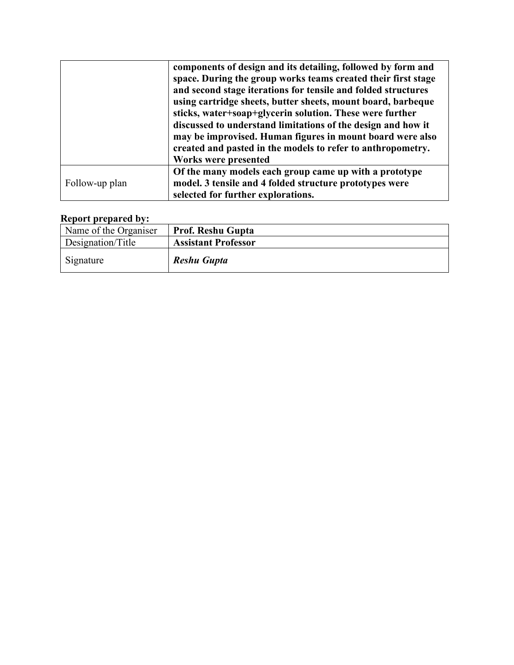|                | components of design and its detailing, followed by form and  |
|----------------|---------------------------------------------------------------|
|                | space. During the group works teams created their first stage |
|                | and second stage iterations for tensile and folded structures |
|                | using cartridge sheets, butter sheets, mount board, barbeque  |
|                | sticks, water+soap+glycerin solution. These were further      |
|                | discussed to understand limitations of the design and how it  |
|                | may be improvised. Human figures in mount board were also     |
|                | created and pasted in the models to refer to anthropometry.   |
|                | Works were presented                                          |
|                | Of the many models each group came up with a prototype        |
| Follow-up plan | model. 3 tensile and 4 folded structure prototypes were       |
|                | selected for further explorations.                            |

## **Report prepared by:**

| Name of the Organiser | <b>Prof. Reshu Gupta</b>   |
|-----------------------|----------------------------|
| Designation/Title     | <b>Assistant Professor</b> |
| Signature             | Reshu Gupta                |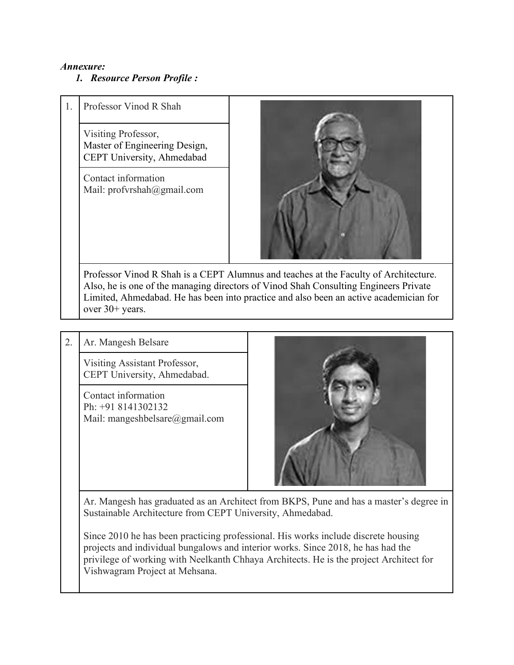#### *Annexure:*

### *1. Resource Person Profile :*

| Professor Vinod R Shah                                                             |
|------------------------------------------------------------------------------------|
| Visiting Professor,<br>Master of Engineering Design,<br>CEPT University, Ahmedabad |
| $\cdots$                                                                           |

Contact information Mail: profvrshah@gmail.com



Professor Vinod R Shah is a CEPT Alumnus and teaches at the Faculty of Architecture. Also, he is one of the managing directors of Vinod Shah Consulting Engineers Private Limited, Ahmedabad. He has been into practice and also been an active academician for over 30+ years.

### 2. Ar. Mangesh Belsare

Visiting Assistant Professor, CEPT University, Ahmedabad.

Contact information Ph: +91 8141302132 Mail: mangeshbelsare@gmail.com



Ar. Mangesh has graduated as an Architect from BKPS, Pune and has a master's degree in Sustainable Architecture from CEPT University, Ahmedabad.

Since 2010 he has been practicing professional. His works include discrete housing projects and individual bungalows and interior works. Since 2018, he has had the privilege of working with Neelkanth Chhaya Architects. He is the project Architect for Vishwagram Project at Mehsana.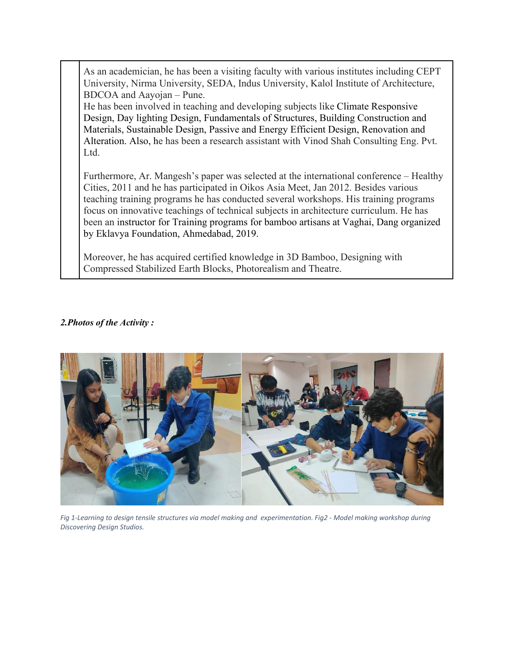As an academician, he has been a visiting faculty with various institutes including CEPT University, Nirma University, SEDA, Indus University, Kalol Institute of Architecture, BDCOA and Aayojan – Pune.

He has been involved in teaching and developing subjects like Climate Responsive Design, Day lighting Design, Fundamentals of Structures, Building Construction and Materials, Sustainable Design, Passive and Energy Efficient Design, Renovation and Alteration. Also, he has been a research assistant with Vinod Shah Consulting Eng. Pvt. Ltd.

Furthermore, Ar. Mangesh's paper was selected at the international conference – Healthy Cities, 2011 and he has participated in Oikos Asia Meet, Jan 2012. Besides various teaching training programs he has conducted several workshops. His training programs focus on innovative teachings of technical subjects in architecture curriculum. He has been an instructor for Training programs for bamboo artisans at Vaghai, Dang organized by Eklavya Foundation, Ahmedabad, 2019.

Moreover, he has acquired certified knowledge in 3D Bamboo, Designing with Compressed Stabilized Earth Blocks, Photorealism and Theatre.

#### *2.Photos of the Activity :*



*Fig 1-Learning to design tensile structures via model making and experimentation. Fig2 - Model making workshop during Discovering Design Studios.*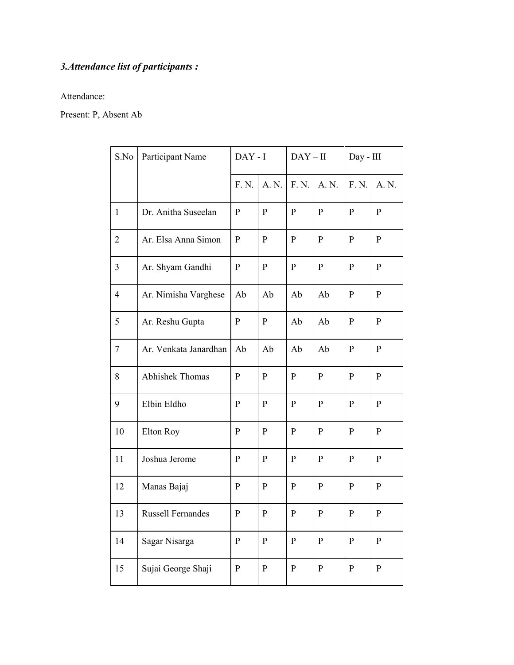# *3.Attendance list of participants :*

Attendance:

Present: P, Absent Ab

| S.No           | Participant Name         | $DAY - I$    |              | $DAY-II$     |              | Day - III    |              |
|----------------|--------------------------|--------------|--------------|--------------|--------------|--------------|--------------|
|                |                          | F. N.        | A. N.        | F. N.        | A. N.        | F. N.        | A. N.        |
| $\mathbf{1}$   | Dr. Anitha Suseelan      | $\mathbf P$  | $\mathbf{P}$ | $\mathbf{P}$ | $\mathbf{P}$ | $\mathbf{P}$ | $\mathbf{P}$ |
| $\overline{2}$ | Ar. Elsa Anna Simon      | $\mathbf{P}$ | P            | P            | $\mathbf{P}$ | $\mathbf{P}$ | $\mathbf{P}$ |
| 3              | Ar. Shyam Gandhi         | P            | $\mathbf{P}$ | $\mathbf{P}$ | $\mathbf{P}$ | $\mathbf{P}$ | $\mathbf{P}$ |
| $\overline{4}$ | Ar. Nimisha Varghese     | Ab           | Ab           | Ab           | Ab           | $\mathbf{P}$ | $\mathbf{P}$ |
| 5              | Ar. Reshu Gupta          | $\mathbf{P}$ | P            | Ab           | Ab           | P            | $\mathbf{P}$ |
| 7              | Ar. Venkata Janardhan    | Ab           | Ab           | Ab           | Ab           | P            | $\mathbf{P}$ |
| 8              | Abhishek Thomas          | $\mathbf{P}$ | $\mathbf{P}$ | P            | $\mathbf{P}$ | $\mathbf{P}$ | P            |
| 9              | Elbin Eldho              | $\mathbf{P}$ | $\mathbf{P}$ | $\mathbf{P}$ | $\mathbf{P}$ | $\mathbf{P}$ | $\mathbf{P}$ |
| 10             | Elton Roy                | $\mathbf{P}$ | $\mathbf{P}$ | P            | $\mathbf{P}$ | $\mathbf{P}$ | $\mathbf{P}$ |
| 11             | Joshua Jerome            | P            | $\mathbf{P}$ | P            | ${\bf P}$    | $\mathbf{P}$ | $\mathbf{P}$ |
| 12             | Manas Bajaj              | P            | $\mathbf{P}$ | $\mathbf{P}$ | $\mathbf{P}$ | $\mathbf{P}$ | $\mathbf{P}$ |
| 13             | <b>Russell Fernandes</b> | $\mathbf P$  | $\mathbf P$  | ${\bf P}$    | $\mathbf P$  | $\mathbf P$  | ${\bf P}$    |
| 14             | Sagar Nisarga            | ${\bf P}$    | ${\bf P}$    | ${\bf P}$    | ${\bf P}$    | ${\bf P}$    | ${\bf P}$    |
| 15             | Sujai George Shaji       | $\mathbf P$  | $\mathbf{P}$ | $\mathbf{P}$ | $\mathbf{P}$ | $\mathbf{P}$ | $\mathbf{P}$ |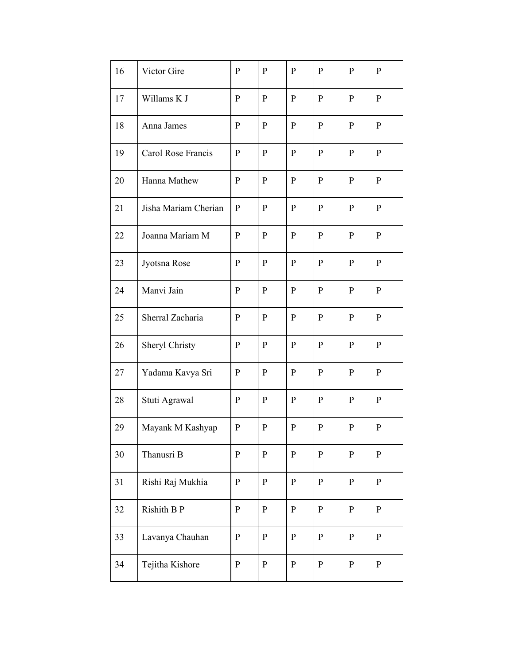| 16 | Victor Gire          | $\mathbf{P}$ | $\mathbf{P}$ | $\mathbf{P}$ | $\mathbf{P}$ | $\mathbf{P}$ | $\mathbf{P}$ |
|----|----------------------|--------------|--------------|--------------|--------------|--------------|--------------|
| 17 | Willams K J          | $\mathbf{P}$ | ${\bf P}$    | $\mathbf{P}$ | $\mathbf{P}$ | $\mathbf P$  | $\mathbf{P}$ |
| 18 | Anna James           | $\mathbf{P}$ | $\mathbf{P}$ | $\mathbf{P}$ | $\mathbf{P}$ | $\mathbf{P}$ | $\mathbf{P}$ |
| 19 | Carol Rose Francis   | $\mathbf{P}$ | $\mathbf{P}$ | $\mathbf{P}$ | $\mathbf{P}$ | $\mathbf{P}$ | P            |
| 20 | Hanna Mathew         | $\mathbf{P}$ | $\mathbf{P}$ | $\mathbf{P}$ | $\mathbf{P}$ | $\mathbf{P}$ | $\mathbf{P}$ |
| 21 | Jisha Mariam Cherian | ${\bf P}$    | ${\bf P}$    | $\mathbf{P}$ | $\, {\bf p}$ | ${\bf P}$    | $\mathbf{P}$ |
| 22 | Joanna Mariam M      | $\mathbf{P}$ | $\mathbf{P}$ | $\mathbf{P}$ | $\mathbf{P}$ | $\mathbf{P}$ | $\mathbf{P}$ |
| 23 | Jyotsna Rose         | $\mathbf{P}$ | $\mathbf{P}$ | $\mathbf{P}$ | $\mathbf{P}$ | $\mathbf{P}$ | P            |
| 24 | Manvi Jain           | $\mathbf{P}$ | ${\bf P}$    | $\mathbf{P}$ | $\mathbf{P}$ | $\mathbf{P}$ | $\mathbf{P}$ |
| 25 | Sherral Zacharia     | $\mathbf{P}$ | $\mathbf{P}$ | $\mathbf{P}$ | $\mathbf{P}$ | $\mathbf{P}$ | P            |
| 26 | Sheryl Christy       | P            | $\mathbf{P}$ | $\mathbf{P}$ | $\mathbf{P}$ | $\mathbf{P}$ | P            |
| 27 | Yadama Kavya Sri     | $\mathbf{P}$ | $\mathbf{P}$ | P            | $\mathbf{P}$ | $\mathbf{P}$ | $\mathbf{P}$ |
| 28 | Stuti Agrawal        | $\mathbf{P}$ | ${\bf P}$    | $\mathbf{P}$ | $\, {\bf p}$ | $\mathbf{P}$ | $\mathbf{P}$ |
| 29 | Mayank M Kashyap     | $\mathbf{P}$ | $\mathbf{P}$ | ${\bf P}$    | ${\bf P}$    | $\mathbf{P}$ | $\mathbf{P}$ |
| 30 | Thanusri B           | $\mathbf{P}$ | $\mathbf{P}$ | ${\bf P}$    | $\, {\bf p}$ | ${\bf P}$    | $\mathbf{P}$ |
| 31 | Rishi Raj Mukhia     | $\mathbf{P}$ | $\mathbf{P}$ | $\mathbf{P}$ | $\mathbf{P}$ | ${\bf P}$    | $\mathbf{P}$ |
| 32 | Rishith B P          | $\mathbf{P}$ | $\mathbf{P}$ | $\mathbf{P}$ | $\mathbf{P}$ | $\mathbf{P}$ | $\mathbf{P}$ |
| 33 | Lavanya Chauhan      | ${\bf P}$    | $\mathbf{P}$ | $\mathbf{P}$ | $\mathbf{P}$ | ${\bf P}$    | $\mathbf{P}$ |
| 34 | Tejitha Kishore      | $\mathbf{P}$ | $\mathbf{P}$ | $\mathbf{P}$ | $\mathbf{P}$ | $\mathbf{P}$ | $\mathbf{P}$ |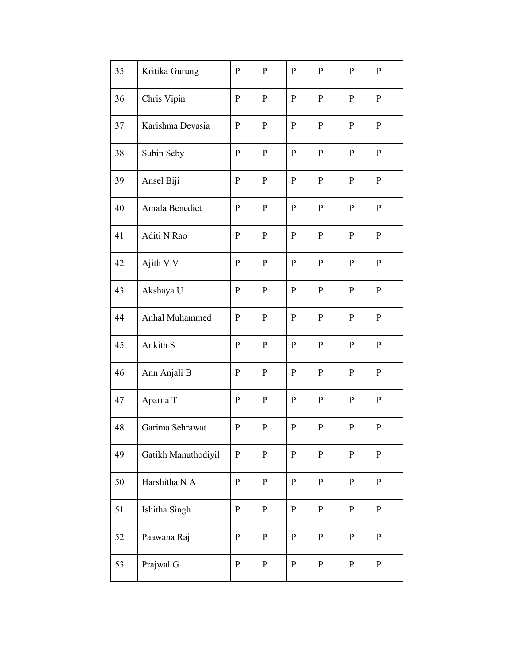| 35 | Kritika Gurung      | $\mathbf{P}$ | $\mathbf{P}$ | $\mathbf{P}$ | $\mathbf{P}$ | $\mathbf{P}$ | $\mathbf{P}$ |
|----|---------------------|--------------|--------------|--------------|--------------|--------------|--------------|
| 36 | Chris Vipin         | $\mathbf{P}$ | ${\bf P}$    | $\mathbf{P}$ | ${\bf P}$    | ${\bf P}$    | $\mathbf{P}$ |
| 37 | Karishma Devasia    | $\mathbf{P}$ | $\mathbf P$  | $\mathbf{P}$ | $\mathbf{P}$ | ${\bf P}$    | $\mathbf{P}$ |
| 38 | Subin Seby          | $\mathbf{P}$ | $\mathbf{P}$ | $\mathbf{P}$ | $\mathbf{P}$ | $\mathbf{P}$ | $\mathbf{P}$ |
| 39 | Ansel Biji          | $\mathbf{P}$ | $\mathbf{P}$ | $\mathbf{P}$ | $\mathbf{P}$ | $\mathbf{P}$ | $\mathbf{P}$ |
| 40 | Amala Benedict      | ${\bf P}$    | $\mathbf P$  | $\, {\bf p}$ | ${\bf P}$    | ${\bf P}$    | $\mathbf{P}$ |
| 41 | Aditi N Rao         | $\mathbf{P}$ | $\mathbf{P}$ | $\mathbf{P}$ | $\mathbf{P}$ | $\mathbf{P}$ | $\mathbf{P}$ |
| 42 | Ajith V V           | $\mathbf{P}$ | $\mathbf{P}$ | $\mathbf{P}$ | $\mathbf{P}$ | $\mathbf{P}$ | $\mathbf{P}$ |
| 43 | Akshaya U           | $\mathbf{P}$ | ${\bf P}$    | $\mathbf{P}$ | $\mathbf{P}$ | ${\bf P}$    | $\mathbf{P}$ |
| 44 | Anhal Muhammed      | $\mathbf P$  | $\mathbf{P}$ | $\mathbf{P}$ | $\mathbf{P}$ | $\mathbf{P}$ | $\mathbf{P}$ |
| 45 | Ankith S            | P            | $\mathbf{P}$ | $\mathbf{P}$ | $\mathbf{P}$ | ${\bf P}$    | $\mathbf{P}$ |
| 46 | Ann Anjali B        | $\mathbf{P}$ | $\mathbf{P}$ | $\mathbf{P}$ | $\mathbf{P}$ | $\mathbf{P}$ | $\mathbf{P}$ |
| 47 | Aparna T            | $\mathbf P$  | ${\bf P}$    | ${\bf P}$    | ${\bf P}$    | ${\bf P}$    | $\mathbf{P}$ |
| 48 | Garima Sehrawat     | ${\bf P}$    | $\mathbf P$  | ${\bf P}$    | ${\bf P}$    | ${\bf P}$    | ${\bf P}$    |
| 49 | Gatikh Manuthodiyil | ${\bf P}$    | $\mathbf P$  | ${\bf P}$    | $\, {\bf p}$ | $\mathbf{P}$ | $\mathbf{P}$ |
| 50 | Harshitha N A       | ${\bf P}$    | $\mathbf{P}$ | $\mathbf{P}$ | $\, {\bf p}$ | ${\bf P}$    | $\mathbf{P}$ |
| 51 | Ishitha Singh       | ${\bf P}$    | $\mathbf{P}$ | $\mathbf{P}$ | $\, {\bf p}$ | $\mathbf{P}$ | $\mathbf{P}$ |
| 52 | Paawana Raj         | ${\bf P}$    | $\mathbf P$  | $\mathbf{P}$ | $\, {\bf p}$ | $\mathbf{P}$ | $\mathbf{P}$ |
| 53 | Prajwal G           | $\mathbf{P}$ | $\mathbf{P}$ | $\mathbf{P}$ | $\mathbf{P}$ | $\mathbf{P}$ | $\mathbf{P}$ |